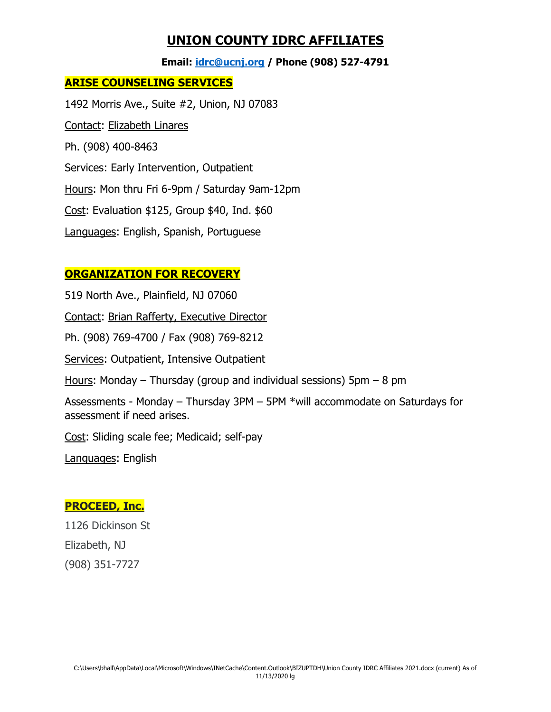### **UNION COUNTY IDRC AFFILIATES**

**Email: [idrc@ucnj.org](mailto:idrc@ucnj.org) / Phone (908) 527-4791**

#### **ARISE COUNSELING SERVICES**

1492 Morris Ave., Suite #2, Union, NJ 07083 Contact: Elizabeth Linares Ph. (908) 400-8463 Services: Early Intervention, Outpatient Hours: Mon thru Fri 6-9pm / Saturday 9am-12pm Cost: Evaluation \$125, Group \$40, Ind. \$60 Languages: English, Spanish, Portuguese

#### **ORGANIZATION FOR RECOVERY**

519 North Ave., Plainfield, NJ 07060 Contact: Brian Rafferty, Executive Director Ph. (908) 769-4700 / Fax (908) 769-8212 Services: Outpatient, Intensive Outpatient Hours: Monday – Thursday (group and individual sessions)  $5pm - 8pm$ Assessments - Monday – Thursday 3PM – 5PM \*will accommodate on Saturdays for assessment if need arises. Cost: Sliding scale fee; Medicaid; self-pay Languages: English

#### **PROCEED, Inc.**

1126 Dickinson St Elizabeth, NJ (908) 351-7727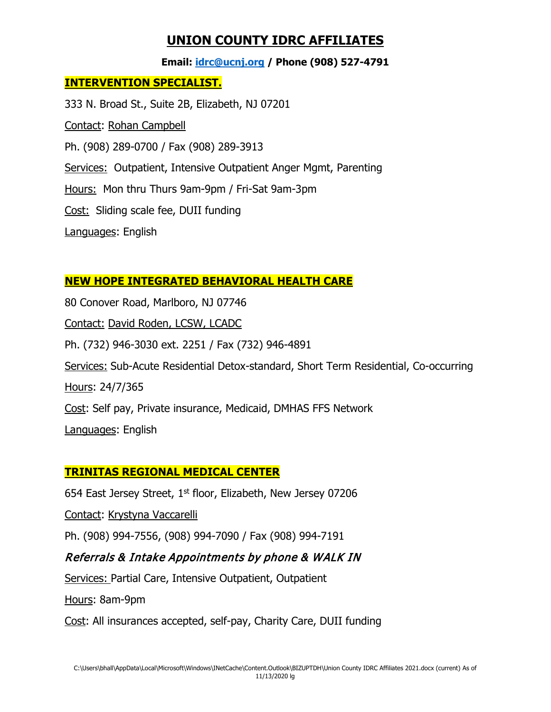## **UNION COUNTY IDRC AFFILIATES**

**Email: [idrc@ucnj.org](mailto:idrc@ucnj.org) / Phone (908) 527-4791**

#### **INTERVENTION SPECIALIST.**

333 N. Broad St., Suite 2B, Elizabeth, NJ 07201 Contact: Rohan Campbell Ph. (908) 289-0700 / Fax (908) 289-3913 Services: Outpatient, Intensive Outpatient Anger Mgmt, Parenting Hours: Mon thru Thurs 9am-9pm / Fri-Sat 9am-3pm Cost: Sliding scale fee, DUII funding Languages: English

#### **NEW HOPE INTEGRATED BEHAVIORAL HEALTH CARE**

80 Conover Road, Marlboro, NJ 07746 Contact: David Roden, LCSW, LCADC Ph. (732) 946-3030 ext. 2251 / Fax (732) 946-4891 Services: Sub-Acute Residential Detox-standard, Short Term Residential, Co-occurring Hours: 24/7/365 Cost: Self pay, Private insurance, Medicaid, DMHAS FFS Network Languages: English

#### **TRINITAS REGIONAL MEDICAL CENTER**

654 East Jersey Street, 1<sup>st</sup> floor, Elizabeth, New Jersey 07206 Contact: Krystyna Vaccarelli Ph. (908) 994-7556, (908) 994-7090 / Fax (908) 994-7191 Referrals & Intake Appointments by phone & WALK IN Services: Partial Care, Intensive Outpatient, Outpatient Hours: 8am-9pm Cost: All insurances accepted, self-pay, Charity Care, DUII funding